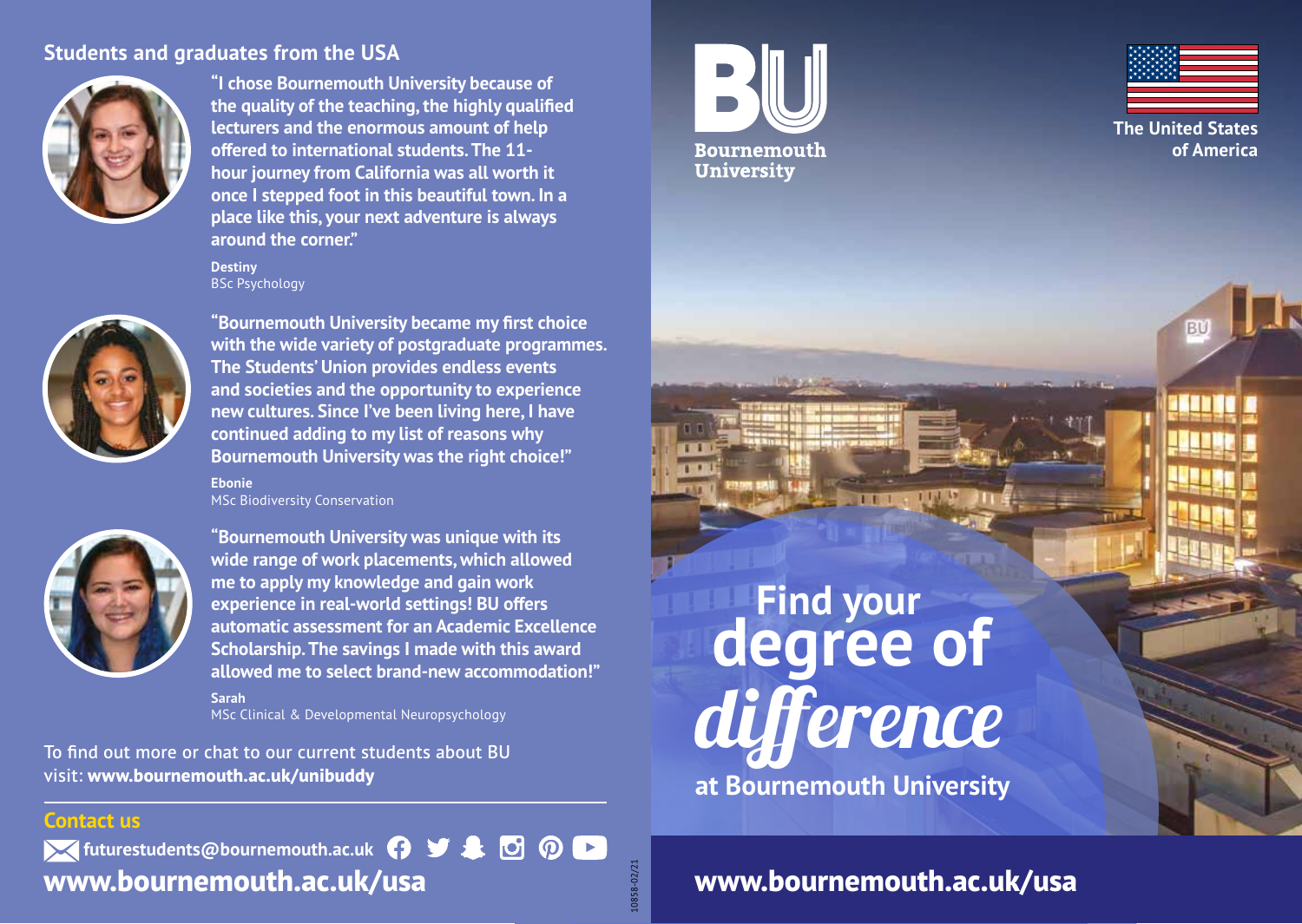#### **Students and graduates from the USA**



**"I chose Bournemouth University because of the quality of the teaching, the highly qualified lecturers and the enormous amount of help offered to international students. The 11 hour journey from California was all worth it once I stepped foot in this beautiful town. In a place like this, your next adventure is always around the corner."**

**Destiny BSc Psychology** 



**"Bournemouth University became my first choice with the wide variety of postgraduate programmes. The Students' Union provides endless events and societies and the opportunity to experience new cultures. Since I've been living here, I have continued adding to my list of reasons why Bournemouth University was the right choice!"**

**Ebonie** MSc Biodiversity Conservation



**"Bournemouth University was unique with its wide range of work placements, which allowed me to apply my knowledge and gain work experience in real-world settings! BU offers automatic assessment for an Academic Excellence Scholarship. The savings I made with this award allowed me to select brand-new accommodation!" Sarah**

MSc Clinical & Developmental Neuropsychology

To find out more or chat to our current students about BU visit: **www.bournemouth.ac.uk/unibuddy**

# **Find your degree of**

**Bournemouth University** 



**The United States of America**

BU

**at Bournemouth University** difference

**Contact us**

*K* futurestudents@bournemouth.ac.uk  $\bigcap$   $\bigcup$   $\bigtriangleup$   $\bigtriangleup$   $\bigodot$   $\bigodot$ **www.bournemouth.ac.uk/usa**

**www.bournemouth.ac.uk/usa**

10858-02/21

10858-02/21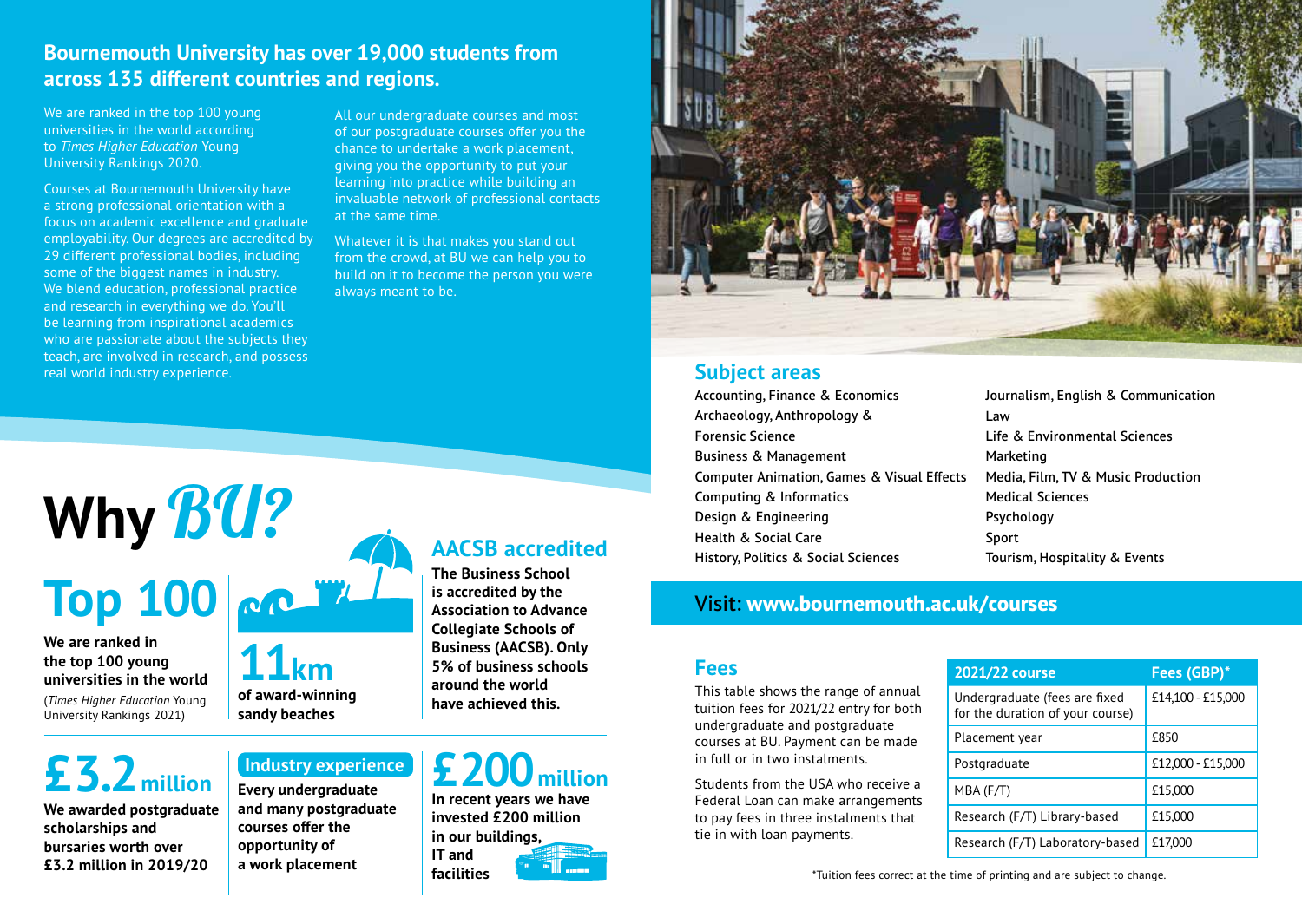#### **Bournemouth University has over 19,000 students from across 135 different countries and regions.**

We are ranked in the top 100 young universities in the world according to *Times Higher Education* Young University Rankings 2020.

Courses at Bournemouth University have a strong professional orientation with a focus on academic excellence and graduate employability. Our degrees are accredited by 29 different professional bodies, including some of the biggest names in industry. We blend education, professional practice and research in everything we do. You'll be learning from inspirational academics who are passionate about the subjects they teach, are involved in research, and possess real world industry experience.

**Why** BU?

All our undergraduate courses and most of our postgraduate courses offer you the chance to undertake a work placement, giving you the opportunity to put your learning into practice while building an invaluable network of professional contacts at the same time.

Whatever it is that makes you stand out from the crowd, at BU we can help you to build on it to become the person you were always meant to be.

# **AACSB accredited**

**Top 100**

**We are ranked in the top 100 young universities in the world**

(*Times Higher Education* Young University Rankings 2021)

# **£3.2million**

**We awarded postgraduate scholarships and bursaries worth over £3.2 million in 2019/20**



#### **The Business School is accredited by the**

**Association to Advance Collegiate Schools of Business (AACSB). Only 5% of business schools around the world have achieved this.**

# **Industry experience**

**Every undergraduate and many postgraduate courses offer the opportunity of a work placement**

# **£200million**

**In recent years we have invested £200 million in our buildings, IT and facilities**





#### **Subject areas**

Accounting, Finance & Economics Archaeology, Anthropology & Forensic Science Business & Management Computer Animation, Games & Visual Effects Computing & Informatics Design & Engineering Health & Social Care History, Politics & Social Sciences

Journalism, English & Communication Law Life & Environmental Sciences Marketing Media, Film, TV & Music Production Medical Sciences Psychology Sport Tourism, Hospitality & Events

#### Visit: **www.bournemouth.ac.uk/courses**

#### **Fees**

This table shows the range of annual tuition fees for 2021/22 entry for both undergraduate and postgraduate courses at BU. Payment can be made in full or in two instalments.

Students from the USA who receive a Federal Loan can make arrangements to pay fees in three instalments that tie in with loan payments.

| 2021/22 course                                                    | Fees (GBP)*       |
|-------------------------------------------------------------------|-------------------|
| Undergraduate (fees are fixed<br>for the duration of your course) | £14,100 - £15,000 |
| Placement year                                                    | £850              |
| Postgraduate                                                      | £12,000 - £15,000 |
| $MBA$ (F/T)                                                       | £15,000           |
| Research (F/T) Library-based                                      | £15,000           |
| Research (F/T) Laboratory-based                                   | £17,000           |

\*Tuition fees correct at the time of printing and are subject to change.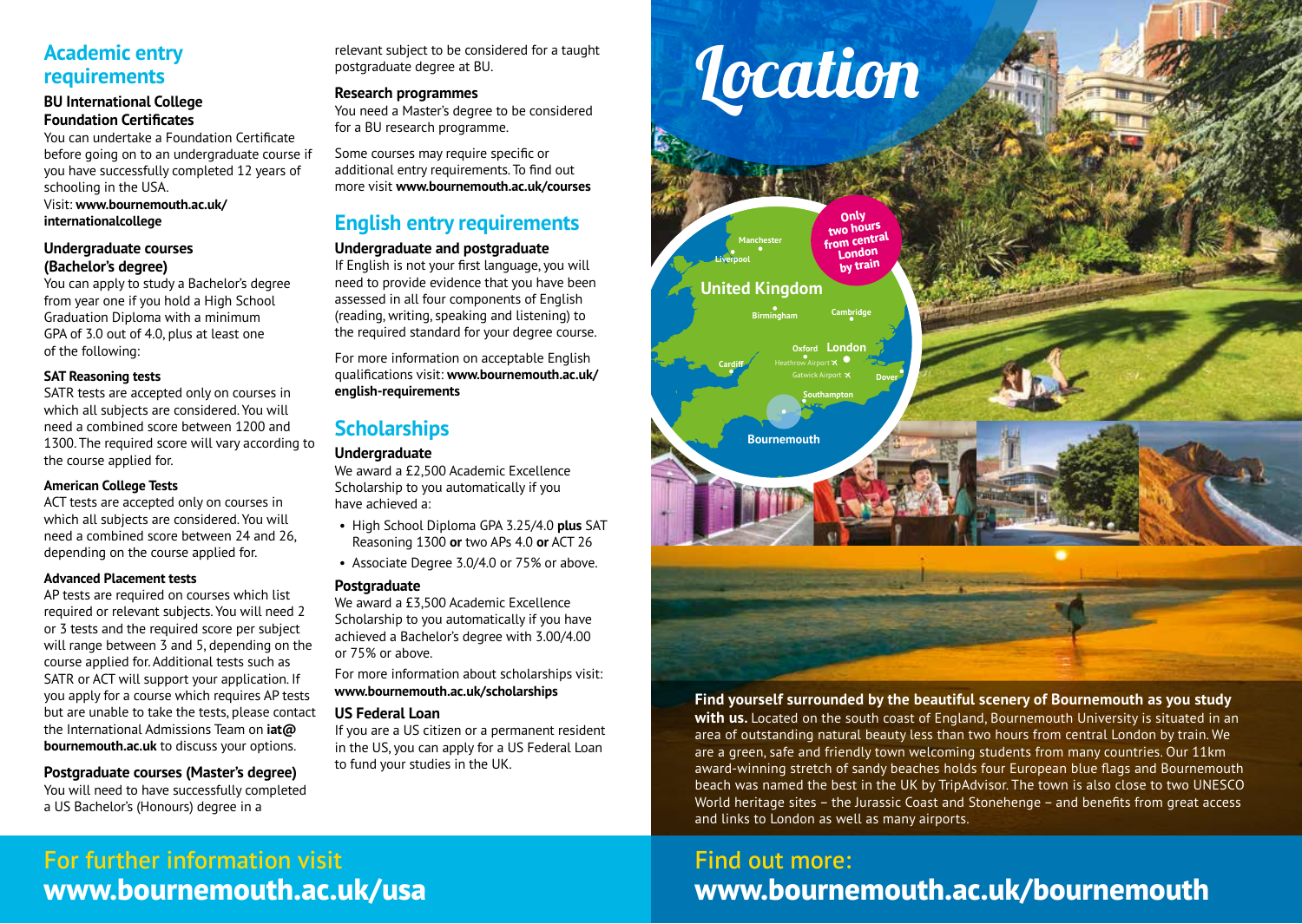#### **Academic entry requirements**

#### **BU International College Foundation Certificates**

You can undertake a Foundation Certificate before going on to an undergraduate course if you have successfully completed 12 years of schooling in the USA. Visit: **www.bournemouth.ac.uk/**

#### **internationalcollege**

#### **Undergraduate courses (Bachelor's degree)**

You can apply to study a Bachelor's degree from year one if you hold a High School Graduation Diploma with a minimum GPA of 3.0 out of 4.0, plus at least one of the following:

#### **SAT Reasoning tests**

SATR tests are accepted only on courses in which all subjects are considered. You will need a combined score between 1200 and 1300. The required score will vary according to the course applied for.

#### **American College Tests**

ACT tests are accepted only on courses in which all subjects are considered. You will need a combined score between 24 and 26, depending on the course applied for.

#### **Advanced Placement tests**

AP tests are required on courses which list required or relevant subjects. You will need 2 or 3 tests and the required score per subject will range between 3 and 5, depending on the course applied for. Additional tests such as SATR or ACT will support your application. If you apply for a course which requires AP tests but are unable to take the tests, please contact the International Admissions Team on **iat@ bournemouth.ac.uk** to discuss your options.

#### **Postgraduate courses (Master's degree)**

You will need to have successfully completed a US Bachelor's (Honours) degree in a

relevant subject to be considered for a taught postgraduate degree at BU.

#### **Research programmes**

You need a Master's degree to be considered for a BU research programme.

Some courses may require specific or additional entry requirements. To find out more visit **www.bournemouth.ac.uk/courses**

#### **English entry requirements**

#### **Undergraduate and postgraduate**

If English is not your first language, you will need to provide evidence that you have been assessed in all four components of English (reading, writing, speaking and listening) to the required standard for your degree course.

For more information on acceptable English qualifications visit: **www.bournemouth.ac.uk/ english-requirements**

#### **Scholarships**

#### **Undergraduate**

We award a £2,500 Academic Excellence Scholarship to you automatically if you have achieved a:

- High School Diploma GPA 3.25/4.0 **plus** SAT Reasoning 1300 **or** two APs 4.0 **or** ACT 26
- Associate Degree 3.0/4.0 or 75% or above.

#### **Postgraduate**

We award a £3,500 Academic Excellence Scholarship to you automatically if you have achieved a Bachelor's degree with 3.00/4.00 or 75% or above.

For more information about scholarships visit: **www.bournemouth.ac.uk/scholarships**

#### **US Federal Loan**

If you are a US citizen or a permanent resident in the US, you can apply for a US Federal Loan to fund your studies in the UK.



#### **Find yourself surrounded by the beautiful scenery of Bournemouth as you study**

**with us.** Located on the south coast of England, Bournemouth University is situated in an area of outstanding natural beauty less than two hours from central London by train. We are a green, safe and friendly town welcoming students from many countries. Our 11km award-winning stretch of sandy beaches holds four European blue flags and Bournemouth beach was named the best in the UK by TripAdvisor. The town is also close to two UNESCO World heritage sites – the Jurassic Coast and Stonehenge – and benefits from great access and links to London as well as many airports.

## Find out more: **www.bournemouth.ac.uk/bournemouth**

### For further information visit **www.bournemouth.ac.uk/usa**